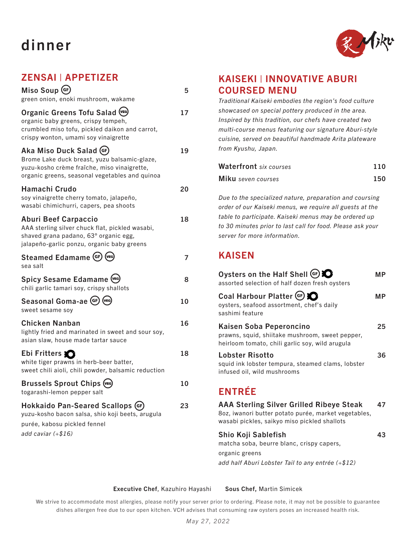# dinner



### ZENSAI | APPETIZER

| Miso Soup (GF)<br>green onion, enoki mushroom, wakame                                                                                                                     | 5  |
|---------------------------------------------------------------------------------------------------------------------------------------------------------------------------|----|
| Organic Greens Tofu Salad (VEG)<br>organic baby greens, crispy tempeh,<br>crumbled miso tofu, pickled daikon and carrot,<br>crispy wonton, umami soy vinaigrette          | 17 |
| Aka Miso Duck Salad (GF)<br>Brome Lake duck breast, yuzu balsamic-glaze,<br>yuzu-kosho crème fraîche, miso vinaigrette,<br>organic greens, seasonal vegetables and quinoa | 19 |
| Hamachi Crudo<br>soy vinaigrette cherry tomato, jalapeño,<br>wasabi chimichurri, capers, pea shoots                                                                       | 20 |
| <b>Aburi Beef Carpaccio</b><br>AAA sterling silver chuck flat, pickled wasabi,<br>shaved grana padano, 63° organic egg,<br>jalapeño-garlic ponzu, organic baby greens     | 18 |
| Steamed Edamame (GF) (VEG)<br>sea salt                                                                                                                                    | 7  |
| Spicy Sesame Edamame (VEG)<br>chili garlic tamari soy, crispy shallots                                                                                                    | 8  |
| Seasonal Goma-ae (GF) (VEG)<br>sweet sesame soy                                                                                                                           | 10 |
| <b>Chicken Nanban</b><br>lightly fried and marinated in sweet and sour soy,<br>asian slaw, house made tartar sauce                                                        | 16 |
| Ebi Fritters<br>white tiger prawns in herb-beer batter,<br>sweet chili aioli, chili powder, balsamic reduction                                                            | 18 |
| <b>Brussels Sprout Chips (VEG)</b><br>togarashi-lemon pepper salt                                                                                                         | 10 |
| Hokkaido Pan-Seared Scallops (GF<br>yuzu-kosho bacon salsa, shio koji beets, arugula<br>purée, kabosu pickled fennel<br>add caviar (+\$16)                                | 23 |
|                                                                                                                                                                           |    |

#### KAISEKI | INNOVATIVE ABURI COURSED MENU

*Traditional Kaiseki embodies the region's food culture showcased on special pottery produced in the area. Inspired by this tradition, our chefs have created two multi-course menus featuring our signature Aburi-style cuisine, served on beautiful handmade Arita plateware from Kyushu, Japan.*

| <b>Waterfront</b> six courses | 110 |
|-------------------------------|-----|
| Miku seven courses            | 150 |

*Due to the specialized nature, preparation and coursing order of our Kaiseki menus, we require all guests at the table to participate. Kaiseki menus may be ordered up to 30 minutes prior to last call for food. Please ask your server for more information.*

#### KAISEN

| Oysters on the Half Shell (GF) C<br>assorted selection of half dozen fresh oysters                                            | МP  |
|-------------------------------------------------------------------------------------------------------------------------------|-----|
| Coal Harbour Platter (GF) 2<br>oysters, seafood assortment, chef's daily<br>sashimi feature                                   | MP. |
| Kaisen Soba Peperoncino<br>prawns, squid, shiitake mushroom, sweet pepper,<br>heirloom tomato, chili garlic soy, wild arugula | 25  |
| Lobster Risotto<br>squid ink lobster tempura, steamed clams, lobster<br>infused oil, wild mushrooms                           | 36  |
| <b>ENTRÉE</b><br>AAA Sterling Silver Grilled Riheve Steak                                                                     |     |

AAA Sterling Silver Grilled Ribeye Steak 47 8oz, iwanori butter potato purée, market vegetables, wasabi pickles, saikyo miso pickled shallots

#### Shio Koji Sablefish 43

matcha soba, beurre blanc, crispy capers,

organic greens

*add half Aburi Lobster Tail to any entrée (+\$12)*

#### Executive Chef, Kazuhiro Hayashi Sous Chef, Martin Simicek

We strive to accommodate most allergies, please notify your server prior to ordering. Please note, it may not be possible to guarantee dishes allergen free due to our open kitchen. VCH advises that consuming raw oysters poses an increased health risk.